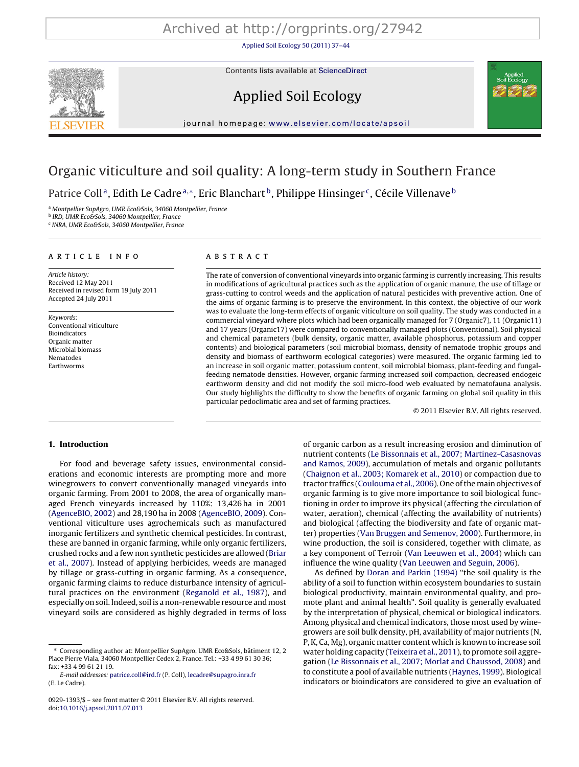# Archived at http://orgprints.org/27942

Applied Soil Ecology [50 \(2011\) 37–44](dx.doi.org/10.1016/j.apsoil.2011.07.013)



Contents lists available at [ScienceDirect](http://www.sciencedirect.com/science/journal/09291393)

# Applied Soil Ecology



journal hom epage: [www.elsevier.com/locate/apsoil](http://www.elsevier.com/locate/apsoil)

# Organic viticulture and soil quality: A long-term study in Southern France

Patrice Coll<sup>a</sup>, Edith Le Cadre<sup>a,\*</sup>, Eric Blanchart<sup>b</sup>, Philippe Hinsinger<sup>c</sup>, Cécile Villenave<sup>b</sup>

a Montpellier SupAgro, UMR Eco&Sols, 34060 Montpellier, France

**b IRD.** UMR Eco&Sols, 34060 Montpellier, France

<sup>c</sup> INRA, UMR Eco&Sols, 34060 Montpellier, France

#### ARTICLE INFO

Article history: Received 12 May 2011 Received in revised form 19 July 2011 Accepted 24 July 2011

Keywords: Conventional viticulture Bioindicators Organic matter Microbial biomass Nematodes Earthworms

## A B S T R A C T

The rate of conversion of conventional vineyards into organic farming is currently increasing. This results in modifications of agricultural practices such as the application of organic manure, the use of tillage or grass-cutting to control weeds and the application of natural pesticides with preventive action. One of the aims of organic farming is to preserve the environment. In this context, the objective of our work was to evaluate the long-term effects of organic viticulture on soil quality. The study was conducted in a commercial vineyard where plots which had been organically managed for 7 (Organic7), 11 (Organic11) and 17 years (Organic17) were compared to conventionally managed plots (Conventional). Soil physical and chemical parameters (bulk density, organic matter, available phosphorus, potassium and copper contents) and biological parameters (soil microbial biomass, density of nematode trophic groups and density and biomass of earthworm ecological categories) were measured. The organic farming led to an increase in soil organic matter, potassium content, soil microbial biomass, plant-feeding and fungalfeeding nematode densities. However, organic farming increased soil compaction, decreased endogeic earthworm density and did not modify the soil micro-food web evaluated by nematofauna analysis. Our study highlights the difficulty to show the benefits of organic farming on global soil quality in this particular pedoclimatic area and set of farming practices.

© 2011 Elsevier B.V. All rights reserved.

## **1. Introduction**

For food and beverage safety issues, environmental considerations and economic interests are prompting more and more winegrowers to convert conventionally managed vineyards into organic farming. From 2001 to 2008, the area of organically managed French vineyards increased by 110%: 13,426 ha in 2001 ([AgenceBIO,](#page-5-0) [2002\)](#page-5-0) and 28,190 ha in 2008 ([AgenceBIO,](#page-5-0) [2009\).](#page-5-0) Conventional viticulture uses agrochemicals such as manufactured inorganic fertilizers and synthetic chemical pesticides. In contrast, these are banned in organic farming, while only organic fertilizers, crushed rocks and a few non synthetic pesticides are allowed ([Briar](#page-6-0) et [al.,](#page-6-0) [2007\).](#page-6-0) Instead of applying herbicides, weeds are managed by tillage or grass-cutting in organic farming. As a consequence, organic farming claims to reduce disturbance intensity of agricultural practices on the environment ([Reganold](#page-6-0) et [al.,](#page-6-0) [1987\),](#page-6-0) and especially on soil. Indeed, soil is a non-renewable resource and most vineyard soils are considered as highly degraded in terms of loss

of organic carbon as a result increasing erosion and diminution of nutrient contents ([Le](#page-6-0) [Bissonnais](#page-6-0) et [al.,](#page-6-0) [2007;](#page-6-0) [Martinez-Casasnovas](#page-6-0) [and](#page-6-0) [Ramos,](#page-6-0) [2009\),](#page-6-0) accumulation of metals and organic pollutants [\(Chaignon](#page-6-0) et [al.,](#page-6-0) [2003;](#page-6-0) [Komarek](#page-6-0) et [al.,](#page-6-0) [2010\)](#page-6-0) or compaction due to tractor traffics [\(Coulouma](#page-6-0) et [al.,](#page-6-0) [2006\).](#page-6-0) One ofthe main objectives of organic farming is to give more importance to soil biological functioning in order to improve its physical (affecting the circulation of water, aeration), chemical (affecting the availability of nutrients) and biological (affecting the biodiversity and fate of organic matter) properties [\(Van](#page-7-0) [Bruggen](#page-7-0) [and](#page-7-0) [Semenov,](#page-7-0) [2000\).](#page-7-0) Furthermore, in wine production, the soil is considered, together with climate, as a key component of Terroir ([Van](#page-7-0) [Leeuwen](#page-7-0) et [al.,](#page-7-0) [2004\)](#page-7-0) which can influence the wine quality [\(Van](#page-7-0) [Leeuwen](#page-7-0) [and](#page-7-0) [Seguin,](#page-7-0) [2006\).](#page-7-0)

As defined by [Doran](#page-6-0) [and](#page-6-0) [Parkin](#page-6-0) [\(1994\)](#page-6-0) "the soil quality is the ability of a soil to function within ecosystem boundaries to sustain biological productivity, maintain environmental quality, and promote plant and animal health". Soil quality is generally evaluated by the interpretation of physical, chemical or biological indicators. Among physical and chemical indicators, those most used by winegrowers are soil bulk density, pH, availability of major nutrients (N, P, K, Ca, Mg), organic matter content which is known to increase soil water holding capacity ([Teixeira](#page-7-0) et [al.,](#page-7-0) [2011\),](#page-7-0) to promote soil aggregation [\(Le](#page-6-0) [Bissonnais](#page-6-0) et [al.,](#page-6-0) [2007;](#page-6-0) [Morlat](#page-6-0) [and](#page-6-0) [Chaussod,](#page-6-0) [2008\)](#page-6-0) and to constitute a pool of available nutrients ([Haynes,](#page-6-0) [1999\).](#page-6-0) Biological indicators or bioindicators are considered to give an evaluation of

<sup>∗</sup> Corresponding author at: Montpellier SupAgro, UMR Eco&Sols, bâtiment 12, 2 Place Pierre Viala, 34060 Montpellier Cedex 2, France. Tel.: +33 4 99 61 30 36; fax: +33 4 99 61 21 19.

E-mail addresses: [patrice.coll@ird.fr](mailto:patrice.coll@ird.fr) (P. Coll), [lecadre@supagro.inra.fr](mailto:lecadre@supagro.inra.fr) (E. Le Cadre).

<sup>0929-1393/\$</sup> – see front matter © 2011 Elsevier B.V. All rights reserved. doi:[10.1016/j.apsoil.2011.07.013](dx.doi.org/10.1016/j.apsoil.2011.07.013)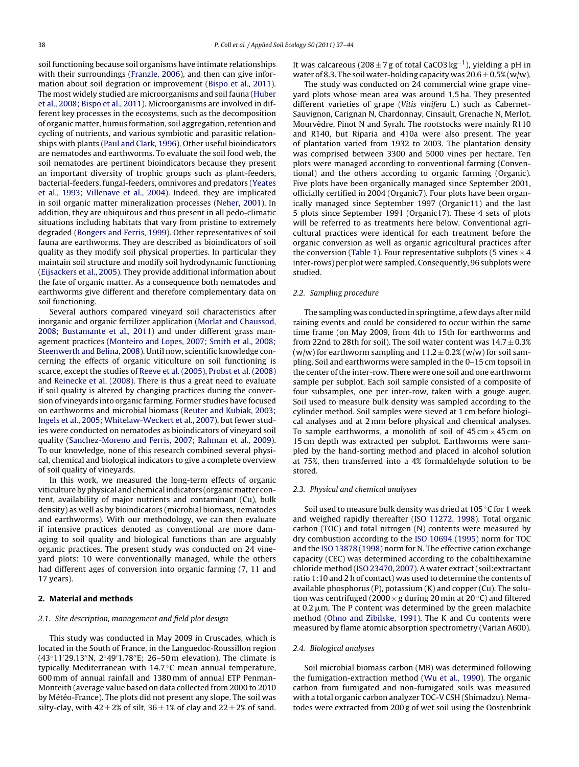soil functioning because soil organisms have intimate relationships with their surroundings [\(Franzle,](#page-6-0) [2006\),](#page-6-0) and then can give information about soil degration or improvement ([Bispo](#page-6-0) et [al.,](#page-6-0) [2011\).](#page-6-0) The most widely studied are microorganisms and soil fauna ([Huber](#page-6-0) et [al.,](#page-6-0) [2008;](#page-6-0) [Bispo](#page-6-0) et [al.,](#page-6-0) [2011\).](#page-6-0) Microorganisms are involved in different key processes in the ecosystems, such as the decomposition of organic matter, humus formation, soil aggregation, retention and cycling of nutrients, and various symbiotic and parasitic relationships with plants [\(Paul](#page-6-0) [and](#page-6-0) [Clark,](#page-6-0) [1996\).](#page-6-0) Other useful bioindicators are nematodes and earthworms. To evaluate the soil food web, the soil nematodes are pertinent bioindicators because they present an important diversity of trophic groups such as plant-feeders, bacterial-feeders, fungal-feeders, omnivores and predators ([Yeates](#page-7-0) et [al.,](#page-7-0) [1993;](#page-7-0) [Villenave](#page-7-0) et [al.,](#page-7-0) [2004\).](#page-7-0) Indeed, they are implicated in soil organic matter mineralization processes ([Neher,](#page-6-0) [2001\).](#page-6-0) In addition, they are ubiquitous and thus present in all pedo-climatic situations including habitats that vary from pristine to extremely degraded [\(Bongers](#page-6-0) [and](#page-6-0) [Ferris,](#page-6-0) [1999\).](#page-6-0) Other representatives of soil fauna are earthworms. They are described as bioindicators of soil quality as they modify soil physical properties. In particular they maintain soil structure and modify soil hydrodynamic functioning ([Eijsackers](#page-6-0) et [al.,](#page-6-0) [2005\).](#page-6-0) They provide additional information about the fate of organic matter. As a consequence both nematodes and earthworms give different and therefore complementary data on soil functioning.

Several authors compared vineyard soil characteristics after inorganic and organic fertilizer application ([Morlat](#page-6-0) [and](#page-6-0) [Chaussod,](#page-6-0) [2008;](#page-6-0) [Bustamante](#page-6-0) et [al.,](#page-6-0) [2011\)](#page-6-0) and under different grass management practices ([Monteiro](#page-6-0) [and](#page-6-0) [Lopes,](#page-6-0) [2007;](#page-6-0) [Smith](#page-6-0) et [al.,](#page-6-0) [2008;](#page-6-0) [Steenwerth](#page-6-0) [and](#page-6-0) [Belina,](#page-6-0) [2008\).](#page-6-0) Until now, scientific knowledge concerning the effects of organic viticulture on soil functioning is scarce, except the studies of [Reeve](#page-6-0) et [al.](#page-6-0) [\(2005\),](#page-6-0) [Probst](#page-6-0) et [al.](#page-6-0) [\(2008\)](#page-6-0) and [Reinecke](#page-6-0) et [al.](#page-6-0) [\(2008\).](#page-6-0) There is thus a great need to evaluate if soil quality is altered by changing practices during the conversion of vineyards into organic farming. Former studies have focused on earthworms and microbial biomass ([Reuter](#page-6-0) [and](#page-6-0) [Kubiak,](#page-6-0) [2003;](#page-6-0) [Ingels](#page-6-0) et [al.,](#page-6-0) [2005;](#page-6-0) [Whitelaw-Weckert](#page-6-0) et [al.,](#page-6-0) [2007\),](#page-6-0) but fewer studies were conducted on nematodes as bioindicators of vineyard soil quality ([Sanchez-Moreno](#page-7-0) [and](#page-7-0) [Ferris,](#page-7-0) [2007;](#page-7-0) [Rahman](#page-7-0) et [al.,](#page-7-0) [2009\).](#page-7-0) To our knowledge, none of this research combined several physical, chemical and biological indicators to give a complete overview of soil quality of vineyards.

In this work, we measured the long-term effects of organic viticulture by physical and chemical indicators (organic matter content, availability of major nutrients and contaminant (Cu), bulk density) as well as by bioindicators (microbial biomass, nematodes and earthworms). With our methodology, we can then evaluate if intensive practices denoted as conventional are more damaging to soil quality and biological functions than are arguably organic practices. The present study was conducted on 24 vineyard plots: 10 were conventionally managed, while the others had different ages of conversion into organic farming (7, 11 and 17 years).

#### **2. Material and methods**

#### 2.1. Site description, management and field plot design

This study was conducted in May 2009 in Cruscades, which is located in the South of France, in the Languedoc-Roussillon region (43°11′29.13″N, 2°49′1.78″E; 26–50 m elevation). The climate is typically Mediterranean with 14.7 ◦C mean annual temperature, 600 mm of annual rainfall and 1380 mm of annual ETP Penman-Monteith (average value based on data collected from 2000 to 2010 by Météo-France). The plots did not present any slope. The soil was silty-clay, with  $42 \pm 2\%$  of silt,  $36 \pm 1\%$  of clay and  $22 \pm 2\%$  of sand.

It was calcareous (208  $\pm$  7 g of total CaCO3 kg<sup>-1</sup>), yielding a pH in water of 8.3. The soil water-holding capacity was  $20.6 \pm 0.5\%$  (w/w).

The study was conducted on 24 commercial wine grape vineyard plots whose mean area was around 1.5 ha. They presented different varieties of grape (Vitis vinifera L.) such as Cabernet-Sauvignon, Carignan N, Chardonnay, Cinsault, Grenache N, Merlot, Mourvèdre, Pinot N and Syrah. The rootstocks were mainly R110 and R140, but Riparia and 410a were also present. The year of plantation varied from 1932 to 2003. The plantation density was comprised between 3300 and 5000 vines per hectare. Ten plots were managed according to conventional farming (Conventional) and the others according to organic farming (Organic). Five plots have been organically managed since September 2001, officially certified in 2004 (Organic7). Four plots have been organically managed since September 1997 (Organic11) and the last 5 plots since September 1991 (Organic17). These 4 sets of plots will be referred to as treatments here below. Conventional agricultural practices were identical for each treatment before the organic conversion as well as organic agricultural practices after the conversion [\(Table](#page-2-0) 1). Four representative subplots (5 vines  $\times$  4 inter-rows) per plot were sampled. Consequently, 96 subplots were studied.

#### 2.2. Sampling procedure

The sampling was conducted in springtime, a few days after mild raining events and could be considered to occur within the same time frame (on May 2009, from 4th to 15th for earthworms and from 22nd to 28th for soil). The soil water content was  $14.7 \pm 0.3\%$ (w/w) for earthworm sampling and  $11.2 \pm 0.2\%$  (w/w) for soil sampling. Soil and earthworms were sampled in the 0–15 cm topsoil in the center of the inter-row. There were one soil and one earthworm sample per subplot. Each soil sample consisted of a composite of four subsamples, one per inter-row, taken with a gouge auger. Soil used to measure bulk density was sampled according to the cylinder method. Soil samples were sieved at 1 cm before biological analyses and at 2 mm before physical and chemical analyses. To sample earthworms, a monolith of soil of  $45 \text{ cm} \times 45 \text{ cm}$  on 15 cm depth was extracted per subplot. Earthworms were sampled by the hand-sorting method and placed in alcohol solution at 75%, then transferred into a 4% formaldehyde solution to be stored.

#### 2.3. Physical and chemical analyses

Soil used to measure bulk density was dried at 105 ◦C for 1 week and weighed rapidly thereafter ([ISO](#page-6-0) [11272,](#page-6-0) [1998\).](#page-6-0) Total organic carbon (TOC) and total nitrogen (N) contents were measured by dry combustion according to the [ISO](#page-6-0) [10694](#page-6-0) [\(1995\)](#page-6-0) norm for TOC and the [ISO](#page-6-0) [13878](#page-6-0) [\(1998\)](#page-6-0) norm for N. The effective cation exchange capacity (CEC) was determined according to the cobaltihexamine chloride method [\(ISO](#page-6-0) [23470,](#page-6-0) [2007\).](#page-6-0) A water extract(soil:extractant ratio 1:10 and 2 h of contact) was used to determine the contents of available phosphorus (P), potassium (K) and copper (Cu). The solution was centrifuged (2000  $\times$  g during 20 min at 20 °C) and filtered at 0.2  $\mu$ m. The P content was determined by the green malachite method [\(Ohno](#page-6-0) [and](#page-6-0) [Zibilske,](#page-6-0) [1991\).](#page-6-0) The K and Cu contents were measured by flame atomic absorption spectrometry (Varian A600).

#### 2.4. Biological analyses

Soil microbial biomass carbon (MB) was determined following the fumigation-extraction method ([Wu](#page-7-0) et [al.,](#page-7-0) [1990\).](#page-7-0) The organic carbon from fumigated and non-fumigated soils was measured with a total organic carbon analyzer TOC-V CSH (Shimadzu). Nematodes were extracted from 200 g of wet soil using the Oostenbrink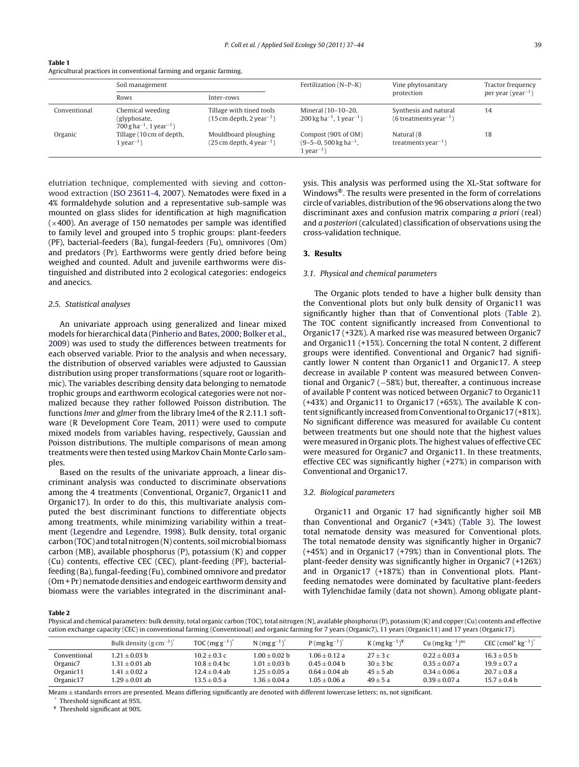<span id="page-2-0"></span>

| Table 1                                                             |  |
|---------------------------------------------------------------------|--|
| Agricultural practices in conventional farming and organic farming. |  |

|              | Soil management                                                               |                                                                      | Fertilization (N-P-K)                                                                       | Vine phytosanitary                                          | Tractor frequency              |
|--------------|-------------------------------------------------------------------------------|----------------------------------------------------------------------|---------------------------------------------------------------------------------------------|-------------------------------------------------------------|--------------------------------|
|              | Rows                                                                          | Inter-rows                                                           |                                                                                             | protection                                                  | per year (year <sup>-1</sup> ) |
| Conventional | Chemical weeding<br>(glyphosate,<br>$700 g h a^{-1}$ , 1 year <sup>-1</sup> ) | Tillage with tined tools<br>(15 cm depth, 2 year <sup>-1</sup> )     | Mineral (10-10-20,<br>$200 \text{ kg} \text{ ha}^{-1}$ , 1 year <sup>-1</sup> )             | Synthesis and natural<br>(6 treatments year <sup>-1</sup> ) | 14                             |
| Organic      | Tillage (10 cm of depth,<br>$\sqrt{2}$ vear <sup>-1</sup> )                   | Mouldboard ploughing<br>$(25 \text{ cm depth}, 4 \text{ year}^{-1})$ | Compost (90% of OM)<br>$(9-5-0, 500 \text{ kg ha}^{-1})$<br>$\sqrt{1}$ year <sup>-1</sup> ) | Natural (8<br>treatments year <sup>-1</sup> )               | 18                             |

elutriation technique, complemented with sieving and cottonwood extraction [\(ISO](#page-6-0) [23611-4,](#page-6-0) [2007\).](#page-6-0) Nematodes were fixed in a 4% formaldehyde solution and a representative sub-sample was mounted on glass slides for identification at high magnification  $(x400)$ . An average of 150 nematodes per sample was identified to family level and grouped into 5 trophic groups: plant-feeders (PF), bacterial-feeders (Ba), fungal-feeders (Fu), omnivores (Om) and predators (Pr). Earthworms were gently dried before being weighed and counted. Adult and juvenile earthworms were distinguished and distributed into 2 ecological categories: endogeics and anecics.

#### 2.5. Statistical analyses

An univariate approach using generalized and linear mixed models for hierarchical data [\(Pinherio](#page-6-0) [and](#page-6-0) [Bates,](#page-6-0) [2000;](#page-6-0) [Bolker](#page-6-0) et [al.,](#page-6-0) [2009\)](#page-6-0) was used to study the differences between treatments for each observed variable. Prior to the analysis and when necessary, the distribution of observed variables were adjusted to Gaussian distribution using proper transformations (square root or logarithmic). The variables describing density data belonging to nematode trophic groups and earthworm ecological categories were not normalized because they rather followed Poisson distribution. The functions lmer and glmer from the library lme4 of the R 2.11.1 software (R Development Core Team, 2011) were used to compute mixed models from variables having, respectively, Gaussian and Poisson distributions. The multiple comparisons of mean among treatments were then tested using Markov Chain Monte Carlo samples.

Based on the results of the univariate approach, a linear discriminant analysis was conducted to discriminate observations among the 4 treatments (Conventional, Organic7, Organic11 and Organic17). In order to do this, this multivariate analysis computed the best discriminant functions to differentiate objects among treatments, while minimizing variability within a treatment [\(Legendre](#page-6-0) [and](#page-6-0) [Legendre,](#page-6-0) [1998\).](#page-6-0) Bulk density, total organic carbon (TOC) and total nitrogen (N) contents, soil microbial biomass carbon (MB), available phosphorus (P), potassium (K) and copper (Cu) contents, effective CEC (CEC), plant-feeding (PF), bacterialfeeding (Ba), fungal-feeding (Fu), combined omnivore and predator (Om + Pr) nematode densities and endogeic earthworm density and biomass were the variables integrated in the discriminant analysis. This analysis was performed using the XL-Stat software for Windows®. The results were presented in the form of correlations circle of variables, distribution ofthe 96 observations along the two discriminant axes and confusion matrix comparing a priori (real) and a posteriori (calculated) classification of observations using the cross-validation technique.

### **3. Results**

#### 3.1. Physical and chemical parameters

The Organic plots tended to have a higher bulk density than the Conventional plots but only bulk density of Organic11 was significantly higher than that of Conventional plots (Table 2). The TOC content significantly increased from Conventional to Organic17 (+32%). A marked rise was measured between Organic7 and Organic11 (+15%). Concerning the total N content, 2 different groups were identified. Conventional and Organic7 had significantly lower N content than Organic11 and Organic17. A steep decrease in available P content was measured between Conventional and Organic7 (−58%) but, thereafter, a continuous increase of available P content was noticed between Organic7 to Organic11 (+43%) and Organic11 to Organic17 (+65%). The available K content significantly increased from Conventional to Organic17 (+81%). No significant difference was measured for available Cu content between treatments but one should note that the highest values were measured in Organic plots. The highest values of effective CEC were measured for Organic7 and Organic11. In these treatments, effective CEC was significantly higher (+27%) in comparison with Conventional and Organic17.

#### 3.2. Biological parameters

Organic11 and Organic 17 had significantly higher soil MB than Conventional and Organic7 (+34%) [\(Table](#page-3-0) 3). The lowest total nematode density was measured for Conventional plots. The total nematode density was significantly higher in Organic7 (+45%) and in Organic17 (+79%) than in Conventional plots. The plant-feeder density was significantly higher in Organic7 (+126%) and in Organic17 (+187%) than in Conventional plots. Plantfeeding nematodes were dominated by facultative plant-feeders with Tylenchidae family (data not shown). Among obligate plant-

**Table 2**

Physical and chemical parameters: bulk density, total organic carbon (TOC), total nitrogen (N), available phosphorus (P), potassium (K) and copper (Cu) contents and effective cation exchange capacity (CEC) in conventional farming (Conventional) and organic farming for 7 years (Organic7), 11 years (Organic11) and 17 years (Organic17).

|                      | Bulk density (g cm <sup>-3</sup> ) <sup>*</sup> | TOC $(mgg^{-1})^{\dagger}$ | $N (mgg^{-1})^*$ | $P(mgkg^{-1})^*$   | $K$ (mg kg <sup>-1</sup> ) <sup>¥</sup> | Cu $(mgkg^{-1})^{ns}$ | CEC (cmol <sup>+</sup> $kg^{-1}$ ) <sup>*</sup> |
|----------------------|-------------------------------------------------|----------------------------|------------------|--------------------|-----------------------------------------|-----------------------|-------------------------------------------------|
| Conventional         | $1.21 + 0.03$ b                                 | $10.2 + 0.3c$              | $1.00\pm0.02$ b  | $1.06 + 0.12 a$    | $27 \pm 3c$                             | $0.22 + 0.03$ a       | $16.3 + 0.5$ b                                  |
| Organic <sub>7</sub> | $1.31 \pm 0.01$ ab                              | $10.8 + 0.4$ bc            | $1.01\pm0.03$ b  | $0.45 + 0.04$ b    | $30 + 3$ bc                             | $0.35 + 0.07$ a       | $19.9 + 0.7 a$                                  |
| Organic11            | $1.41 \pm 0.02$ a                               | $12.4\pm0.4$ ab            | $1.25\pm0.05$ a  | $0.64 \pm 0.04$ ab | $45 \pm 5$ ab                           | $0.34 + 0.06$ a       | $20.7 \pm 0.8$ a                                |
| Organic17            | $1.29 \pm 0.01$ ab                              | $13.5\pm0.5$ a             | $1.36 + 0.04$ a  | $1.05 + 0.06$ a    | $49 \pm 5 a$                            | $0.39 + 0.07$ a       | $15.7 + 0.4 h$                                  |

Means ± standards errors are presented. Means differing significantly are denoted with different lowercase letters; ns, not significant.

Threshold significant at 95%.

¥ Threshold significant at 90%.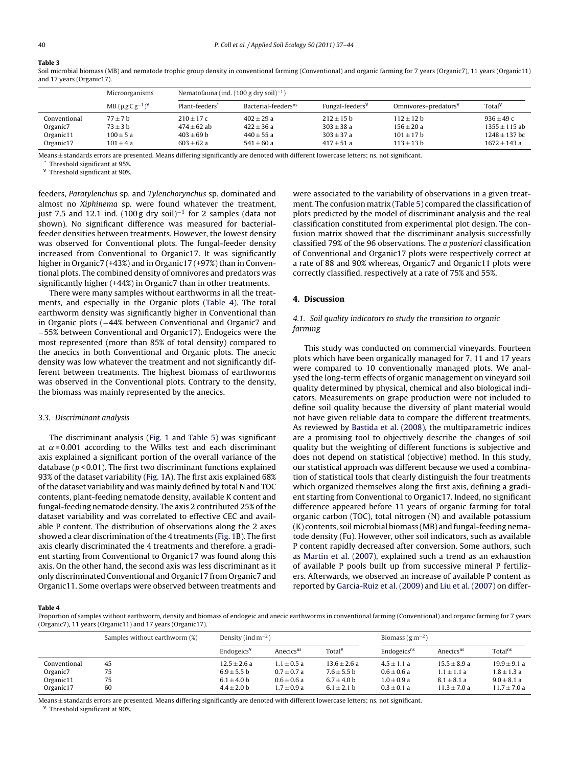# <span id="page-3-0"></span>**Table 3**

Soil microbial biomass (MB) and nematode trophic group density in conventional farming (Conventional) and organic farming for 7 years (Organic7), 11 years (Organic11) and 17 years (Organic17).

|                                    | Microorganisms | Nematofauna (ind. $(100 \text{ g dry soil})^{-1}$ ) |                                 |                             |                                  |                    |
|------------------------------------|----------------|-----------------------------------------------------|---------------------------------|-----------------------------|----------------------------------|--------------------|
| MB $(\mu g C g^{-1})^{\mathbf{Y}}$ |                | Plant-feeders <sup>*</sup>                          | Bacterial-feeders <sup>ns</sup> | Fungal-feeders <sup>¥</sup> | Omnivores-predators <sup>¥</sup> | Total <sup>¥</sup> |
| Conventional                       | $77 + 7 h$     | $210 + 17c$                                         | $402 + 29a$                     | $212 + 15$ b                | $112 + 12 h$                     | $936 + 49c$        |
| Organic <sub>7</sub>               | $73 + 3 h$     | $474 + 62$ ab                                       | $422 + 36a$                     | $303 + 38a$                 | $156 + 20a$                      | $1355 + 115$ ab    |
| Organic11                          | $100 \pm 5 a$  | $403 \pm 69$ b                                      | $440 \pm 55$ a                  | $303 \pm 37$ a              | $101 + 17 h$                     | $1248 \pm 137$ bc  |
| Organic17                          | $101 \pm 4a$   | $603 \pm 62$ a                                      | $541 \pm 60 a$                  | $417 + 51a$                 | $113 \pm 13$ b                   | $1672 + 143$ a     |

Means ± standards errors are presented. Means differing significantly are denoted with different lowercase letters; ns, not significant.

Threshold significant at 95%.

¥ Threshold significant at 90%.

feeders, Paratylenchus sp. and Tylenchorynchus sp. dominated and almost no Xiphinema sp. were found whatever the treatment, just 7.5 and 12.1 ind. (100 g dry soil)<sup>-1</sup> for 2 samples (data not shown). No significant difference was measured for bacterialfeeder densities between treatments. However, the lowest density was observed for Conventional plots. The fungal-feeder density increased from Conventional to Organic17. It was significantly higher in Organic7 (+43%) and in Organic17 (+97%) than in Conventional plots. The combined density of omnivores and predators was significantly higher (+44%) in Organic7 than in other treatments.

There were many samples without earthworms in all the treatments, and especially in the Organic plots (Table 4). The total earthworm density was significantly higher in Conventional than in Organic plots (−44% between Conventional and Organic7 and −55% between Conventional and Organic17). Endogeics were the most represented (more than 85% of total density) compared to the anecics in both Conventional and Organic plots. The anecic density was low whatever the treatment and not significantly different between treatments. The highest biomass of earthworms was observed in the Conventional plots. Contrary to the density, the biomass was mainly represented by the anecics.

#### 3.3. Discriminant analysis

The discriminant analysis [\(Fig.](#page-4-0) 1 and [Table](#page-4-0) 5) was significant at  $\alpha$ = 0.001 according to the Wilks test and each discriminant axis explained a significant portion of the overall variance of the database ( $p < 0.01$ ). The first two discriminant functions explained 93% of the dataset variability [\(Fig.](#page-4-0) 1A). The first axis explained 68% ofthe dataset variability and was mainly defined by total N and TOC contents, plant-feeding nematode density, available K content and fungal-feeding nematode density. The axis 2 contributed 25% of the dataset variability and was correlated to effective CEC and available P content. The distribution of observations along the 2 axes showed a clear discrimination of the 4 treatments ([Fig.](#page-4-0) 1B). The first axis clearly discriminated the 4 treatments and therefore, a gradient starting from Conventional to Organic17 was found along this axis. On the other hand, the second axis was less discriminant as it only discriminated Conventional and Organic17 from Organic7 and Organic11. Some overlaps were observed between treatments and

were associated to the variability of observations in a given treatment. The confusion matrix [\(Table](#page-4-0) 5) compared the classification of plots predicted by the model of discriminant analysis and the real classification constituted from experimental plot design. The confusion matrix showed that the discriminant analysis successfully classified 79% of the 96 observations. The a posteriori classification of Conventional and Organic17 plots were respectively correct at a rate of 88 and 90% whereas, Organic7 and Organic11 plots were correctly classified, respectively at a rate of 75% and 55%.

#### **4. Discussion**

# 4.1. Soil quality indicators to study the transition to organic farming

This study was conducted on commercial vineyards. Fourteen plots which have been organically managed for 7, 11 and 17 years were compared to 10 conventionally managed plots. We analysed the long-term effects of organic management on vineyard soil quality determined by physical, chemical and also biological indicators. Measurements on grape production were not included to define soil quality because the diversity of plant material would not have given reliable data to compare the different treatments. As reviewed by [Bastida](#page-5-0) et [al.](#page-5-0) [\(2008\),](#page-5-0) the multiparametric indices are a promising tool to objectively describe the changes of soil quality but the weighting of different functions is subjective and does not depend on statistical (objective) method. In this study, our statistical approach was different because we used a combination of statistical tools that clearly distinguish the four treatments which organized themselves along the first axis, defining a gradient starting from Conventional to Organic17. Indeed, no significant difference appeared before 11 years of organic farming for total organic carbon (TOC), total nitrogen (N) and available potassium (K) contents, soil microbial biomass (MB) and fungal-feeding nematode density (Fu). However, other soil indicators, such as available P content rapidly decreased after conversion. Some authors, such as [Martin](#page-6-0) et [al.](#page-6-0) [\(2007\),](#page-6-0) explained such a trend as an exhaustion of available P pools built up from successive mineral P fertilizers. Afterwards, we observed an increase of available P content as reported by [Garcia-Ruiz](#page-6-0) et [al.](#page-6-0) [\(2009\)](#page-6-0) and [Liu](#page-6-0) et [al.](#page-6-0) [\(2007\)](#page-6-0) on differ-

**Table 4**

Proportion of samples without earthworm, density and biomass of endogeic and anecic earthworms in conventional farming (Conventional) and organic farming for 7 years (Organic7), 11 years (Organic11) and 17 years (Organic17).

|              | Samples without earthworm (%) | Density (ind $m^{-2}$ ) |                       |                    | Biomass $(g m^{-2})$    |                       |                     |
|--------------|-------------------------------|-------------------------|-----------------------|--------------------|-------------------------|-----------------------|---------------------|
|              |                               | Endogeics <sup>¥</sup>  | Anecics <sup>ns</sup> | Total <sup>¥</sup> | Endogeics <sup>ns</sup> | Anecics <sup>ns</sup> | Total <sup>ns</sup> |
| Conventional | 45                            | $12.5 \pm 2.6 a$        | $1.1 \pm 0.5$ a       | $13.6 \pm 2.6 a$   | $4.5 \pm 1.1 a$         | $15.5 + 8.9 a$        | $19.9 \pm 9.1 a$    |
| Organic7     | 75                            | $6.9 \pm 5.5$ b         | $0.7 \pm 0.7$ a       | $7.6 + 5.5 h$      | $0.6 \pm 0.6 a$         | $1.1 + 1.1 a$         | $1.8 \pm 1.3 a$     |
| Organic11    | 75                            | $6.1 \pm 4.0$ b         | $0.6 \pm 0.6 a$       | $6.7 \pm 4.0$ b    | $1.0 \pm 0.9$ a         | $8.1 \pm 8.1 a$       | $9.0 \pm 8.1 a$     |
| Organic17    | 60                            | $4.4 \pm 2.0$ b         | $1.7 \pm 0.9$ a       | $6.1 \pm 2.1$ b    | $0.3 \pm 0.1 a$         | $11.3 \pm 7.0 a$      | $11.7 \pm 7.0$ a    |

Means ± standards errors are presented. Means differing significantly are denoted with different lowercase letters; ns, not significant. ¥ Threshold significant at 90%.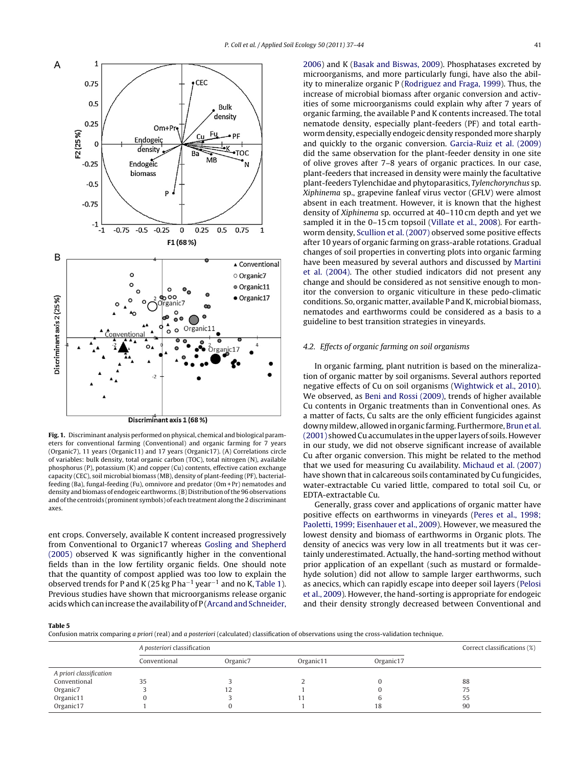<span id="page-4-0"></span>

**Fig. 1.** Discriminant analysis performed on physical, chemical and biological parameters for conventional farming (Conventional) and organic farming for 7 years (Organic7), 11 years (Organic11) and 17 years (Organic17). (A) Correlations circle of variables: bulk density, total organic carbon (TOC), total nitrogen (N), available phosphorus (P), potassium (K) and copper (Cu) contents, effective cation exchange capacity (CEC), soil microbial biomass (MB), density of plant-feeding (PF), bacterialfeeding (Ba), fungal-feeding (Fu), omnivore and predator (Om + Pr) nematodes and density and biomass of endogeic earthworms.(B) Distribution ofthe 96 observations and ofthe centroids (prominent symbols) of each treatment along the 2 discriminant axes.

ent crops. Conversely, available K content increased progressively from Conventional to Organic17 whereas [Gosling](#page-6-0) [and](#page-6-0) [Shepherd](#page-6-0) [\(2005\)](#page-6-0) observed K was significantly higher in the conventional fields than in the low fertility organic fields. One should note that the quantity of compost applied was too low to explain the observed trends for P and K (25 kg P ha<sup>-1</sup> year<sup>-1</sup> and no K, [Table](#page-2-0) 1). Previous studies have shown that microorganisms release organic acids which can increase the availability of P ([Arcand](#page-5-0) [and](#page-5-0) [Schneider,](#page-5-0) [2006\)](#page-5-0) and K [\(Basak](#page-5-0) [and](#page-5-0) [Biswas,](#page-5-0) [2009\).](#page-5-0) Phosphatases excreted by microorganisms, and more particularly fungi, have also the ability to mineralize organic P [\(Rodriguez](#page-6-0) [and](#page-6-0) [Fraga,](#page-6-0) [1999\).](#page-6-0) Thus, the increase of microbial biomass after organic conversion and activities of some microorganisms could explain why after 7 years of organic farming, the available P and K contents increased. The total nematode density, especially plant-feeders (PF) and total earthworm density, especially endogeic density responded more sharply and quickly to the organic conversion. [Garcia-Ruiz](#page-6-0) et [al.](#page-6-0) [\(2009\)](#page-6-0) did the same observation for the plant-feeder density in one site of olive groves after 7–8 years of organic practices. In our case, plant-feeders that increased in density were mainly the facultative plant-feeders Tylenchidae and phytoparasitics, Tylenchorynchus sp. Xiphinema sp., grapevine fanleaf virus vector (GFLV) were almost absent in each treatment. However, it is known that the highest density of Xiphinema sp. occurred at 40–110 cm depth and yet we sampled it in the 0–15 cm topsoil ([Villate](#page-7-0) et [al.,](#page-7-0) [2008\).](#page-7-0) For earthworm density, [Scullion](#page-7-0) et [al.](#page-7-0) [\(2007\)](#page-7-0) observed some positive effects after 10 years of organic farming on grass-arable rotations. Gradual changes of soil properties in converting plots into organic farming have been measured by several authors and discussed by [Martini](#page-6-0) et [al.](#page-6-0) [\(2004\).](#page-6-0) The other studied indicators did not present any change and should be considered as not sensitive enough to monitor the conversion to organic viticulture in these pedo-climatic conditions. So, organic matter, available P and K, microbial biomass, nematodes and earthworms could be considered as a basis to a guideline to best transition strategies in vineyards.

#### 4.2. Effects of organic farming on soil organisms

In organic farming, plant nutrition is based on the mineralization of organic matter by soil organisms. Several authors reported negative effects of Cu on soil organisms ([Wightwick](#page-7-0) et [al.,](#page-7-0) [2010\).](#page-7-0) We observed, as [Beni](#page-6-0) [and](#page-6-0) [Rossi](#page-6-0) [\(2009\),](#page-6-0) trends of higher available Cu contents in Organic treatments than in Conventional ones. As a matter of facts, Cu salts are the only efficient fungicides against downy mildew, allowed in organic farming. Furthermore, Brun et [al.](#page-6-0) [\(2001\)](#page-6-0) showedCuaccumulates intheupper layers of soils.However in our study, we did not observe significant increase of available Cu after organic conversion. This might be related to the method that we used for measuring Cu availability. [Michaud](#page-6-0) et [al.](#page-6-0) [\(2007\)](#page-6-0) have shown that in calcareous soils contaminated by Cu fungicides, water-extractable Cu varied little, compared to total soil Cu, or EDTA-extractable Cu.

Generally, grass cover and applications of organic matter have positive effects on earthworms in vineyards ([Peres](#page-6-0) et [al.,](#page-6-0) [1998;](#page-6-0) [Paoletti,](#page-6-0) [1999;](#page-6-0) [Eisenhauer](#page-6-0) et [al.,](#page-6-0) [2009\).](#page-6-0) However, we measured the lowest density and biomass of earthworms in Organic plots. The density of anecics was very low in all treatments but it was certainly underestimated. Actually, the hand-sorting method without prior application of an expellant (such as mustard or formaldehyde solution) did not allow to sample larger earthworms, such as anecics, which can rapidly escape into deeper soil layers [\(Pelosi](#page-6-0) et [al.,](#page-6-0) [2009\).](#page-6-0) However, the hand-sorting is appropriate for endogeic and their density strongly decreased between Conventional and

**Table 5**

Confusion matrix comparing a priori (real) and a posteriori (calculated) classification of observations using the cross-validation technique.

|                         | A posteriori classification |          | Correct classifications (%) |           |    |
|-------------------------|-----------------------------|----------|-----------------------------|-----------|----|
|                         | Conventional                | Organic7 | Organic11                   | Organic17 |    |
| A priori classification |                             |          |                             |           |    |
| Conventional            | 35                          |          |                             |           | 88 |
| Organic7                |                             |          |                             |           | 75 |
| Organic11               |                             |          |                             |           | 55 |
| Organic17               |                             |          |                             | 18        | 90 |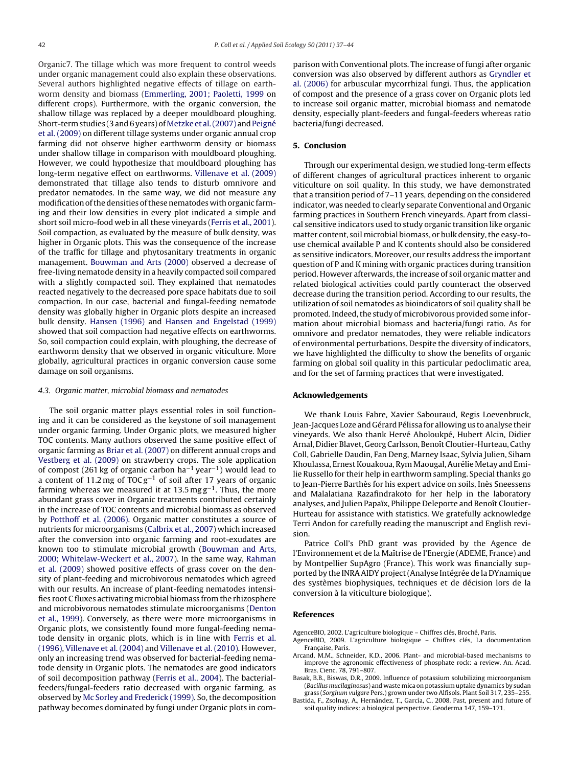<span id="page-5-0"></span>Organic7. The tillage which was more frequent to control weeds under organic management could also explain these observations. Several authors highlighted negative effects of tillage on earthworm density and biomass [\(Emmerling,](#page-6-0) [2001;](#page-6-0) [Paoletti,](#page-6-0) [1999](#page-6-0) on different crops). Furthermore, with the organic conversion, the shallow tillage was replaced by a deeper mouldboard ploughing. Short-term studies (3 and 6 years) of [Metzke](#page-6-0) et al. (2007) and [Peigné](#page-6-0) et [al.](#page-6-0) [\(2009\)](#page-6-0) on different tillage systems under organic annual crop farming did not observe higher earthworm density or biomass under shallow tillage in comparison with mouldboard ploughing. However, we could hypothesize that mouldboard ploughing has long-term negative effect on earthworms. [Villenave](#page-7-0) [et](#page-7-0) [al.](#page-7-0) [\(2009\)](#page-7-0) demonstrated that tillage also tends to disturb omnivore and predator nematodes. In the same way, we did not measure any modification of the densities of these nematodes with organic farming and their low densities in every plot indicated a simple and short soil micro-food web in all these vineyards ([Ferris](#page-6-0) et [al.,](#page-6-0) [2001\).](#page-6-0) Soil compaction, as evaluated by the measure of bulk density, was higher in Organic plots. This was the consequence of the increase of the traffic for tillage and phytosanitary treatments in organic management. [Bouwman](#page-6-0) [and](#page-6-0) [Arts](#page-6-0) [\(2000\)](#page-6-0) observed a decrease of free-living nematode density in a heavily compacted soil compared with a slightly compacted soil. They explained that nematodes reacted negatively to the decreased pore space habitats due to soil compaction. In our case, bacterial and fungal-feeding nematode density was globally higher in Organic plots despite an increased bulk density. [Hansen](#page-6-0) [\(1996\)](#page-6-0) and [Hansen](#page-6-0) [and](#page-6-0) [Engelstad](#page-6-0) [\(1999\)](#page-6-0) showed that soil compaction had negative effects on earthworms. So, soil compaction could explain, with ploughing, the decrease of earthworm density that we observed in organic viticulture. More globally, agricultural practices in organic conversion cause some damage on soil organisms.

#### 4.3. Organic matter, microbial biomass and nematodes

The soil organic matter plays essential roles in soil functioning and it can be considered as the keystone of soil management under organic farming. Under Organic plots, we measured higher TOC contents. Many authors observed the same positive effect of organic farming as [Briar](#page-6-0) et [al.](#page-6-0) [\(2007\)](#page-6-0) on different annual crops and [Vestberg](#page-7-0) et [al.](#page-7-0) [\(2009\)](#page-7-0) on strawberry crops. The sole application of compost (261 kg of organic carbon ha−<sup>1</sup> year−1) would lead to a content of 11.2 mg of TOC  $g^{-1}$  of soil after 17 years of organic farming whereas we measured it at 13.5 mg g<sup>-1</sup>. Thus, the more abundant grass cover in Organic treatments contributed certainly in the increase of TOC contents and microbial biomass as observed by [Potthoff](#page-6-0) et [al.](#page-6-0) [\(2006\).](#page-6-0) Organic matter constitutes a source of nutrients for microorganisms ([Calbrix](#page-6-0) et [al.,](#page-6-0) [2007\)](#page-6-0) which increased after the conversion into organic farming and root-exudates are known too to stimulate microbial growth [\(Bouwman](#page-6-0) [and](#page-6-0) [Arts,](#page-6-0) [2000;](#page-6-0) [Whitelaw-Weckert](#page-6-0) et [al.,](#page-6-0) [2007\).](#page-6-0) In the same way, [Rahman](#page-6-0) et [al.](#page-6-0) [\(2009\)](#page-6-0) showed positive effects of grass cover on the density of plant-feeding and microbivorous nematodes which agreed with our results. An increase of plant-feeding nematodes intensifies root C fluxes activating microbial biomass from the rhizosphere and microbivorous nematodes stimulate microorganisms [\(Denton](#page-6-0) et [al.,](#page-6-0) [1999\).](#page-6-0) Conversely, as there were more microorganisms in Organic plots, we consistently found more fungal-feeding nematode density in organic plots, which is in line with [Ferris](#page-6-0) et [al.](#page-6-0) [\(1996\),](#page-6-0) [Villenave](#page-7-0) et [al.](#page-7-0) [\(2004\)](#page-7-0) and [Villenave](#page-7-0) et [al.](#page-7-0) [\(2010\).](#page-7-0) However, only an increasing trend was observed for bacterial-feeding nematode density in Organic plots. The nematodes are good indicators of soil decomposition pathway [\(Ferris](#page-6-0) et [al.,](#page-6-0) [2004\).](#page-6-0) The bacterialfeeders/fungal-feeders ratio decreased with organic farming, as observed by [Mc](#page-6-0) [Sorley](#page-6-0) [and](#page-6-0) [Frederick](#page-6-0) [\(1999\).](#page-6-0) So, the decomposition pathway becomes dominated by fungi under Organic plots in com-

parison with Conventional plots. The increase of fungi after organic conversion was also observed by different authors as [Gryndler](#page-6-0) [et](#page-6-0) [al.](#page-6-0) [\(2006\)](#page-6-0) for arbuscular mycorrhizal fungi. Thus, the application of compost and the presence of a grass cover on Organic plots led to increase soil organic matter, microbial biomass and nematode density, especially plant-feeders and fungal-feeders whereas ratio bacteria/fungi decreased.

### **5. Conclusion**

Through our experimental design, we studied long-term effects of different changes of agricultural practices inherent to organic viticulture on soil quality. In this study, we have demonstrated that a transition period of 7–11 years, depending on the considered indicator, was needed to clearly separate Conventional and Organic farming practices in Southern French vineyards. Apart from classical sensitive indicators used to study organic transition like organic matter content, soil microbial biomass, or bulk density, the easy-touse chemical available P and K contents should also be considered as sensitive indicators. Moreover, our results address the important question of P and K mining with organic practices during transition period. However afterwards, the increase of soil organic matter and related biological activities could partly counteract the observed decrease during the transition period. According to our results, the utilization of soil nematodes as bioindicators of soil quality shall be promoted. Indeed, the study of microbivorous provided some information about microbial biomass and bacteria/fungi ratio. As for omnivore and predator nematodes, they were reliable indicators of environmental perturbations. Despite the diversity of indicators, we have highlighted the difficulty to show the benefits of organic farming on global soil quality in this particular pedoclimatic area, and for the set of farming practices that were investigated.

#### **Acknowledgements**

We thank Louis Fabre, Xavier Sabouraud, Regis Loevenbruck, Jean-Jacques Loze and Gérard Pélissa for allowing us to analyse their vineyards. We also thank Hervé Aholoukpé, Hubert Alcin, Didier Arnal, Didier Blavet, Georg Carlsson, Benoît Cloutier-Hurteau, Cathy Coll, Gabrielle Daudin, Fan Deng, Marney Isaac, Sylvia Julien, Siham Khoulassa, Ernest Kouakoua, Rym Maougal, Aurélie Metay and Emilie Russello for their help in earthworm sampling. Special thanks go to Jean-Pierre Barthès for his expert advice on soils, Inès Sneessens and Malalatiana Razafindrakoto for her help in the laboratory analyses, and Julien Papaïx, Philippe Deleporte and Benoît Cloutier-Hurteau for assistance with statistics. We gratefully acknowledge Terri Andon for carefully reading the manuscript and English revision.

Patrice Coll's PhD grant was provided by the Agence de l'Environnement et de la Maîtrise de l'Energie (ADEME, France) and by Montpellier SupAgro (France). This work was financially supported by the INRAAIDY project(Analyse Intégrée de la DYnamique des systèmes biophysiques, techniques et de décision lors de la conversion à la viticulture biologique).

#### **References**

AgenceBIO, 2002. L'agriculture biologique – Chiffres clés, Broché, Paris.

- AgenceBIO, 2009. L'agriculture biologique Chiffres clés, La documentation Française, Paris.
- Arcand, M.M., Schneider, K.D., 2006. Plant- and microbial-based mechanisms to improve the agronomic effectiveness of phosphate rock: a review. An. Acad. Bras. Cienc. 78, 791–807.
- Basak, B.B., Biswas, D.R., 2009. Influence of potassium solubilizing microorganism (Bacillus mucilaginosus) and waste mica on potassium uptake dynamics by sudan grass (Sorghum vulgare Pers.) grown under two Alfisols. Plant Soil 317, 235–255.
- Bastida, F., Zsolnay, A., Hernández, T., García, C., 2008. Past, present and future of soil quality indices: a biological perspective. Geoderma 147, 159–171.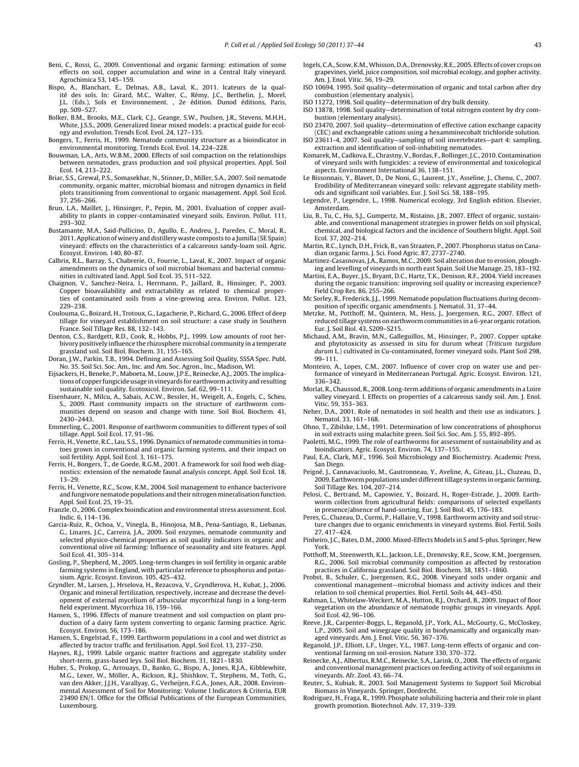- <span id="page-6-0"></span>Beni, C., Rossi, G., 2009. Conventional and organic farming: estimation of some effects on soil, copper accumulation and wine in a Central Italy vineyard. Agrochimica 53, 145–159.
- Bispo, A., Blanchart, E., Delmas, A.B., Laval, K., 2011. Icateurs de la qualité des sols. In: Girard, M.C., Walter, C., Rémy, J.C., Berthelin, J., Morel, J.L. (Eds.), Sols et Environnement. , 2e édition. Dunod éditions, Paris, pp. 509–527.
- Bolker, B.M., Brooks, M.E., Clark, C.J., Geange, S.W., Poulsen, J.R., Stevens, M.H.H., White, J.S.S., 2009. Generalized linear mixed models: a practical guide for ecology and evolution. Trends Ecol. Evol. 24, 127–135.
- Bongers, T., Ferris, H., 1999. Nematode community structure as a bioindicator in environmental monitoring. Trends Ecol. Evol. 14, 224–228.
- Bouwman, L.A., Arts, W.B.M., 2000. Effects of soil compaction on the relationships between nematodes, grass production and soil physical properties. Appl. Soil Ecol. 14, 213–222.
- Briar, S.S., Grewal, P.S., Somasekhar, N., Stinner, D., Miller, S.A., 2007. Soil nematode community, organic matter, microbial biomass and nitrogen dynamics in field plots transitioning from conventional to organic management. Appl. Soil Ecol. 37, 256–266.
- Brun, L.A., Maillet, J., Hinsinger, P., Pepin, M., 2001. Evaluation of copper availability to plants in copper-contaminated vineyard soils. Environ. Pollut. 111, 293–302.
- Bustamante, M.A., Said-Pullicino, D., Agullo, E., Andreu, J., Paredes, C., Moral, R., 2011. Application of winery and distillery waste composts to a Jumilla (SE Spain) vineyard: effects on the characteristics of a calcareous sandy-loam soil. Agric. Ecosyst. Environ. 140, 80–87.
- Calbrix, R.L., Barray, S., Chabrerie, O., Fourrie, L., Laval, K., 2007. Impact of organic amendments on the dynamics of soil microbial biomass and bacterial communities in cultivated land. Appl. Soil Ecol. 35, 511–522.
- Chaignon, V., Sanchez-Neira, I., Herrmann, P., Jaillard, B., Hinsinger, P., 2003. Copper bioavailability and extractability as related to chemical properties of contaminated soils from a vine-growing area. Environ. Pollut. 123, 229–238.
- Coulouma, G., Boizard, H., Trotoux, G., Lagacherie, P., Richard, G., 2006. Effect of deep tillage for vineyard establishment on soil structure: a case study in Southern France. Soil Tillage Res. 88, 132–143.
- Denton, C.S., Bardgett, R.D., Cook, R., Hobbs, P.J., 1999. Low amounts of root herbivory positively influence the rhizosphere microbial community in a temperate grassland soil. Soil Biol. Biochem. 31, 155–165.
- Doran, J.W., Parkin, T.B., 1994. Defining and Assessing Soil Quality, SSSA Spec. Publ. No. 35. Soil Sci. Soc. Am., Inc. and Am. Soc. Agron., Inc., Madison, WI.
- Eijsackers, H., Beneke, P., Maboeta, M., Louw, J.P.E., Reinecke, A.J., 2005. The implications of copper fungicide usage in vineyards for earthwormactivity and resulting
- sustainable soil quality. Ecotoxicol. Environ. Saf. 62, 99–111. Eisenhauer, N., Milcu, A., Sabais, A.C.W., Bessler, H., Weigelt, A., Engels, C., Scheu, S., 2009. Plant community impacts on the structure of earthworm communities depend on season and change with time. Soil Biol. Biochem. 41, 2430–2443.
- Emmerling, C., 2001. Response of earthworm communities to different types of soil tillage. Appl. Soil Ecol. 17, 91–96.
- Ferris, H., Venette, R.C., Lau, S.S., 1996. Dynamics of nematode communities in tomatoes grown in conventional and organic farming systems, and their impact on soil fertility. Appl. Soil Ecol. 3, 161–175.
- Ferris, H., Bongers, T., de Goede, R.G.M., 2001. A framework for soil food web diagnostics: extension of the nematode faunal analysis concept. Appl. Soil Ecol. 18, 13–29.
- Ferris, H., Venette, R.C., Scow, K.M., 2004. Soil management to enhance bacterivore and fungivore nematode populations and their nitrogenmineralisation function. Appl. Soil Ecol. 25, 19–35.
- Franzle, O., 2006. Complex bioindication and environmental stress assessment. Ecol. Indic. 6, 114–136.
- Garcia-Ruiz, R., Ochoa, V., Vinegla, B., Hinojosa, M.B., Pena-Santiago, R., Liebanas, G., Linares, J.C., Carreira, J.A., 2009. Soil enzymes, nematode community and selected physico-chemical properties as soil quality indicators in organic and conventional olive oil farming: Influence of seasonality and site features. Appl. Soil Ecol. 41, 305–314.
- Gosling, P., Shepherd, M., 2005. Long-term changes in soil fertility in organic arable farming systems in England, with particular reference to phosphorus and potassium. Agric. Ecosyst. Environ. 105, 425–432.
- Gryndler, M., Larsen, J., Hrselova, H., Rezacova, V., Gryndlerova, H., Kubat, J., 2006. Organic and mineral fertilization, respectively, increase and decrease the development of external mycelium of arbuscular mycorrhizal fungi in a long-term field experiment. Mycorrhiza 16, 159–166.
- Hansen, S., 1996. Effects of manure treatment and soil compaction on plant production of a dairy farm system converting to organic farming practice. Agric. Ecosyst. Environ. 56, 173–186.
- Hansen, S., Engelstad, F., 1999. Earthworm populations in a cool and wet district as affected by tractor traffic and fertilisation. Appl. Soil Ecol. 13, 237–250.
- Haynes, R.J., 1999. Labile organic matter fractions and aggregate stability under short-term, grass-based leys. Soil Biol. Biochem. 31, 1821–1830.
- Huber, S., Prokop, G., Arrouays, D., Banko, G., Bispo, A., Jones, R.J.A., Kibblewhite, M.G., Lexer, W., Möller, A., Rickson, R.J., Shishkov, T., Stephens, M., Toth, G., van den Akker, J.J.H., Varallyay, G., Verheijen, F.G.A., Jones, A.R., 2008. Environmental Assessment of Soil for Monitoring: Volume I Indicators & Criteria, EUR 23490 EN/1. Office for the Official Publications of the European Communities, Luxembourg.
- Ingels, C.A., Scow,K.M.,Whisson, D.A., Drenovsky,R.E., 2005. Effects of cover crops on grapevines, yield, juice composition, soil microbial ecology, and gopher activity. Am. J. Enol. Vitic. 56, 19–29.
- ISO 10694, 1995. Soil quality—determination of organic and total carbon after dry combustion (elementary analysis).
- ISO 11272, 1998. Soil quality—determination of dry bulk density.
- ISO 13878, 1998. Soil quality—determination of total nitrogen content by dry combustion (elementary analysis).
- ISO 23470, 2007. Soil quality—determination of effective cation exchange capacity (CEC) and exchangeable cations using a hexamminecobalt trichloride solution. ISO 23611-4, 2007. Soil quality—sampling of soil invertebrates—part 4: sampling,
- extraction and identification of soil-inhabiting nematodes. Komarek, M., Cadkova, E., Chrastny,V., Bordas, F., Bollinger, J.C., 2010. Contamination
- of vineyard soils with fungicides: a review of environmental and toxicological aspects. Environment International 36, 138–151. Le Bissonnais, Y., Blavet, D., De Noni, G., Laurent, J.Y., Asseline, J., Chenu, C., 2007.
- Erodibility of Mediterranean vineyard soils: relevant aggregate stability methods and significant soil variables. Eur. J. Soil Sci. 58, 188–195.
- Legendre, P., Legendre, L., 1998. Numerical ecology, 3rd English edition. Elsevier, Amsterdam.
- Liu, B., Tu, C., Hu, S.J., Gumpertz, M., Ristaino, J.B., 2007. Effect of organic, sustainable, and conventional management strategies in grower fields on soil physical, chemical, and biological factors and the incidence of Southern blight. Appl. Soil Ecol. 37, 202–214.
- Martin, R.C., Lynch, D.H., Frick, B., van Straaten, P., 2007. Phosphorus status on Canadian organic farms. J. Sci. Food Agric. 87, 2737–2740.
- Martinez-Casasnovas, J.A., Ramos, M.C., 2009. Soil alteration due to erosion, ploughing and levelling of vineyards in north east Spain. Soil Use Manage. 25, 183–192.
- Martini, E.A., Buyer, J.S., Bryant, D.C., Hartz, T.K., Denison, R.F., 2004. Yield increases during the organic transition: improving soil quality or increasing experience? Field Crop Res. 86, 255–266.
- Mc Sorley, R., Frederick, J.J., 1999. Nematode population fluctuations during decomposition of specific organic amendments. J. Nematol. 31, 37–44.
- Metzke, M., Potthoff, M., Quintern, M., Hess, J., Joergensen, R.G., 2007. Effect of reduced tillage systems on earthworm communities in a 6-year organic rotation. Eur. J. Soil Biol. 43, S209–S215.
- Michaud, A.M., Bravin, M.N., Galleguillos, M., Hinsinger, P., 2007. Copper uptake and phytotoxicity as assessed in situ for durum wheat (Triticum turgidum durum L.) cultivated in Cu-contaminated, former vineyard soils. Plant Soil 298, 99–111.
- Monteiro, A., Lopes, C.M., 2007. Influence of cover crop on water use and performance of vineyard in Mediterranean Portugal. Agric. Ecosyst. Environ. 121, 336–342.
- Morlat, R., Chaussod, R., 2008. Long-term additions of organic amendments in a Loire valley vineyard. I. Effects on properties of a calcareous sandy soil. Am. J. Enol. Vitic. 59, 353–363.
- Neher, D.A., 2001. Role of nematodes in soil health and their use as indicators. J. Nematol. 33, 161–168.
- Ohno, T., Zibilske, L.M., 1991. Determination of low concentrations of phosphorus in soil extracts using malachite green. Soil Sci. Soc. Am. J. 55, 892–895.
- Paoletti, M.G., 1999. The role of earthworms for assessment of sustainability and as bioindicators. Agric. Ecosyst. Environ. 74, 137–155.
- Paul, E.A., Clark, M.F., 1996. Soil Microbiology and Biochemistry. Academic Press, San Diego.
- Peigné, J., Cannavaciuolo, M., Gautronneau, Y., Aveline, A., Giteau, J.L., Cluzeau, D., 2009. Earthworm populations under different tillage systems in organic farming. Soil Tillage Res. 104, 207–214.
- Pelosi, C., Bertrand, M., Capowiez, Y., Boizard, H., Roger-Estrade, J., 2009. Earthworm collection from agricultural fields: comparisons of selected expellants
- in presence/absence of hand-sorting. Eur. J. Soil Biol. 45, 176–183. Peres, G., Cluzeau, D., Curmi, P., Hallaire, V., 1998. Earthworm activity and soil structure changes due to organic enrichments in vineyard systems. Biol. Fertil. Soils 27, 417–424.
- Pinheiro, J.C., Bates, D.M., 2000. Mixed-Effects Models in S and S-plus. Springer, New York.
- Potthoff, M., Steenwerth, K.L., Jackson, L.E., Drenovsky, R.E., Scow, K.M., Joergensen, R.G., 2006. Soil microbial community composition as affected by restoration practices in California grassland. Soil Biol. Biochem. 38, 1851–1860.
- Probst, B., Schuler, C., Joergensen, R.G., 2008. Vineyard soils under organic and conventional management—microbial biomass and activity indices and their relation to soil chemical properties. Biol. Fertil. Soils 44, 443–450.
- Rahman, L., Whitelaw-Weckert, M.A., Hutton, R.J., Orchard, B., 2009. Impact of floor vegetation on the abundance of nematode trophic groups in vineyards. Appl. Soil Ecol. 42, 96–106.
- Reeve, J.R., Carpenter-Boggs, L., Reganold, J.P., York, A.L., McGourty, G., McCloskey, L.P., 2005. Soil and winegrape quality in biodynamically and organically managed vineyards. Am. J. Enol. Vitic. 56, 367–376.
- Reganold, J.P., Elliott, L.F., Unger, Y.L., 1987. Long-term effects of organic and conventional farming on soil-erosion. Nature 330, 370–372.
- Reinecke, A.J., Albertus, R.M.C., Reinecke, S.A., Larink, O., 2008. The effects of organic and conventional management practices on feeding activity of soil organisms in vineyards. Afr. Zool. 43, 66–74.
- Reuter, S., Kubiak, R., 2003. Soil Management Systems to Support Soil Microbial Biomass in Vineyards. Springer, Dordrecht.
- Rodriguez, H., Fraga, R., 1999. Phosphate solubilizing bacteria and their role in plant growth promotion. Biotechnol. Adv. 17, 319–339.